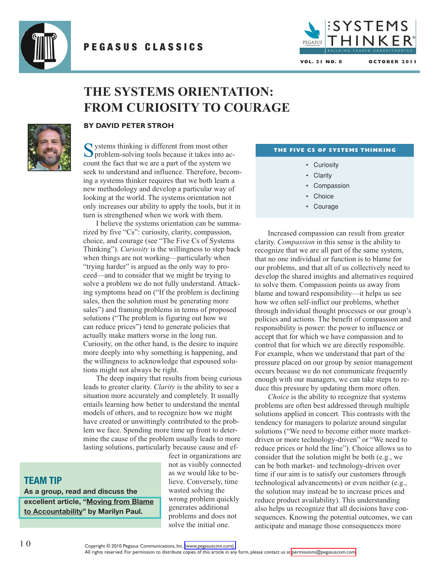

## PEGASUS CLASSICS



**VOL. 21 NO. 8 O C T O B E R 2 0 1 1**

# **THE SYSTEMS ORIENTATION: FROM CURIOSITY TO COURAGE**



### **BY DAVID PETER STROH**

Systems thinking is different from most other<br>problem-solving tools because it takes into account the fact that we are a part of the system we seek to understand and influence. Therefore, becoming a systems thinker requires that we both learn a new methodology and develop a particular way of looking at the world. The systems orientation not only increases our ability to apply the tools, but it in turn is strengthened when we work with them.

I believe the systems orientation can be summarized by five "Cs": curiosity, clarity, compassion, choice, and courage (see "The Five Cs of Systems Thinking"). *Curiosity* is the willingness to step back when things are not working—particularly when "trying harder" is argued as the only way to proceed—and to consider that we might be trying to solve a problem we do not fully understand. Attacking symptoms head on ("If the problem is declining sales, then the solution must be generating more sales") and framing problems in terms of proposed solutions ("The problem is figuring out how we can reduce prices") tend to generate policies that actually make matters worse in the long run. Curiosity, on the other hand, is the desire to inquire more deeply into why something is happening, and the willingness to acknowledge that espoused solutions might not always be right.

The deep inquiry that results from being curious leads to greater clarity. *Clarity* is the ability to see a situation more accurately and completely. It usually entails learning how better to understand the mental models of others, and to recognize how we might have created or unwittingly contributed to the problem we face. Spending more time up front to determine the cause of the problem usually leads to more lasting solutions, particularly because cause and ef-

## **TEAM TIP**

**As a group, read and discuss the excellent article, "Moving from Blame to [Accountability"](http://www.bridgewaypartners.com/5SystemsThinker.pdf) by Marilyn Paul.**

fect in organizations are not as visibly connected as we would like to believe. Conversely, time wasted solving the wrong problem quickly generates additional problems and does not solve the initial one.

#### **THE FIVE CS OF SYSTEMS THINKING**

- Curiosity
- Clarity
- Compassion
- Choice
- Courage

Increased compassion can result from greater clarity. *Compassion* in this sense is the ability to recognize that we are all part of the same system, that no one individual or function is to blame for our problems, and that all of us collectively need to develop the shared insights and alternatives required to solve them. Compassion points us away from blame and toward responsibility—it helps us see how we often self-inflict our problems, whether through individual thought processes or our group's policies and actions. The benefit of compassion and responsibility is power: the power to influence or accept that for which we have compassion and to control that for which we are directly responsible. For example, when we understand that part of the pressure placed on our group by senior management occurs because we do not communicate frequently enough with our managers, we can take steps to reduce this pressure by updating them more often.

*Choice* is the ability to recognize that systems problems are often best addressed through multiple solutions applied in concert. This contrasts with the tendency for managers to polarize around singular solutions ("We need to become either more marketdriven or more technology-driven" or "We need to reduce prices or hold the line"). Choice allows us to consider that the solution might be both (e.g., we can be both market- and technology-driven over time if our aim is to satisfy our customers through technological advancements) or even neither (e.g., the solution may instead be to increase prices and reduce product availability). This understanding also helps us recognize that all decisions have consequences. Knowing the potential outcomes, we can anticipate and manage those consequences more

Copyright © 2010 Pegasus Communications, Inc. [\(www.pegasuscom.com\).](http://www.pegasuscom.com)